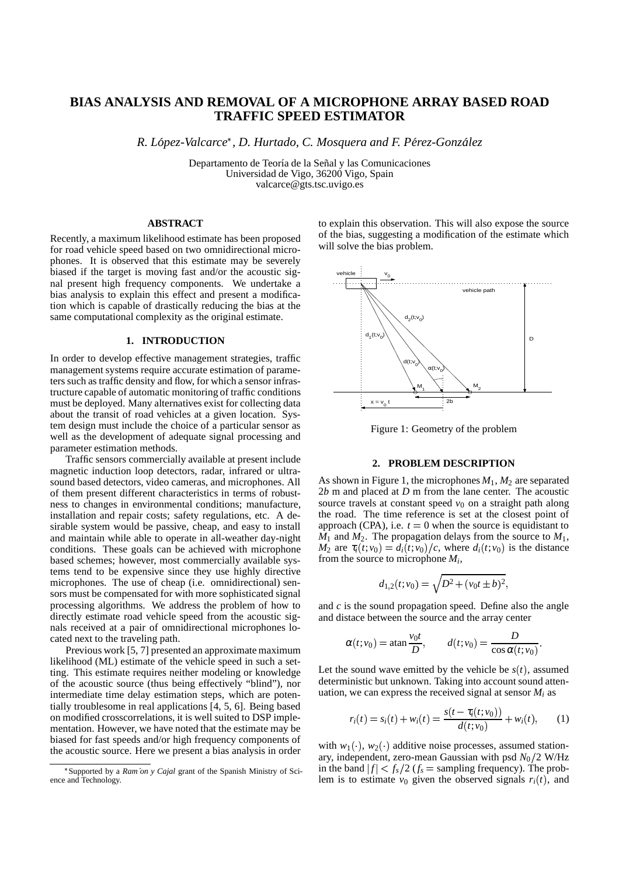# **BIAS ANALYSIS AND REMOVAL OF A MICROPHONE ARRAY BASED ROAD TRAFFIC SPEED ESTIMATOR**

*R. Lopez-V ´ alcarce , D. Hurtado, C. Mosquera and F. Per´ ez-Gonzalez ´*

Departamento de Teoría de la Señal y las Comunicaciones Universidad de Vigo, 36200 Vigo, Spain valcarce@gts.tsc.uvigo.es

# **ABSTRACT**

Recently, a maximum likelihood estimate has been proposed for road vehicle speed based on two omnidirectional microphones. It is observed that this estimate may be severely biased if the target is moving fast and/or the acoustic signal present high frequency components. We undertake a bias analysis to explain this effect and present a modification which is capable of drastically reducing the bias at the same computational complexity as the original estimate.

#### **1. INTRODUCTION**

In order to develop effective management strategies, traffic management systems require accurate estimation of parameters such as traffic density and flow, for which a sensor infrastructure capable of automatic monitoring of traffic conditions must be deployed. Many alternatives exist for collecting data about the transit of road vehicles at a given location. System design must include the choice of a particular sensor as well as the development of adequate signal processing and parameter estimation methods.

Traffic sensors commercially available at present include magnetic induction loop detectors, radar, infrared or ultrasound based detectors, video cameras, and microphones. All of them present different characteristics in terms of robustness to changes in environmental conditions; manufacture, installation and repair costs; safety regulations, etc. A desirable system would be passive, cheap, and easy to install and maintain while able to operate in all-weather day-night conditions. These goals can be achieved with microphone based schemes; however, most commercially available systems tend to be expensive since they use highly directive microphones. The use of cheap (i.e. omnidirectional) sensors must be compensated for with more sophisticated signal processing algorithms. We address the problem of how to directly estimate road vehicle speed from the acoustic signals received at a pair of omnidirectional microphones located next to the traveling path.

Previous work [5, 7] presented an approximate maximum likelihood (ML) estimate of the vehicle speed in such a setting. This estimate requires neither modeling or knowledge of the acoustic source (thus being effectively "blind"), nor intermediate time delay estimation steps, which are potentially troublesome in real applications [4, 5, 6]. Being based on modified crosscorrelations, it is well suited to DSP implementation. However, we have noted that the estimate may be biased for fast speeds and/or high frequency components of the acoustic source. Here we present a bias analysis in order to explain this observation. This will also expose the source of the bias, suggesting a modification of the estimate which will solve the bias problem.



Figure 1: Geometry of the problem

#### **2. PROBLEM DESCRIPTION**

As shown in Figure 1, the microphones  $M_1$ ,  $M_2$  are separated 2*b* m and placed at *D* m from the lane center. The acoustic source travels at constant speed  $v_0$  on a straight path along the road. The time reference is set at the closest point of approach (CPA), i.e.  $t = 0$  when the source is equidistant to  $M_1$  and  $M_2$ . The propagation delays from the source to  $M_1$ , *M*<sub>2</sub> are  $\tau_i(t; v_0) = d_i(t; v_0)/c$ , where  $d_i(t; v_0)$  is the distance from the source to microphone *M<sup>i</sup>* ,

$$
d_{1,2}(t; v_0) = \sqrt{D^2 + (v_0 t \pm b)^2},
$$

and *c* is the sound propagation speed. Define also the angle and distace between the source and the array center

$$
\alpha(t; v_0) = \operatorname{atan} \frac{v_0 t}{D}, \qquad d(t; v_0) = \frac{D}{\cos \alpha(t; v_0)}.
$$

Let the sound wave emitted by the vehicle be  $s(t)$ , assumed deterministic but unknown. Taking into account sound attenuation, we can express the received signal at sensor  $M_i$  as

$$
r_i(t) = s_i(t) + w_i(t) = \frac{s(t - \tau_i(t; v_0))}{d(t; v_0)} + w_i(t), \qquad (1)
$$

with  $w_1(\cdot)$ ,  $w_2(\cdot)$  additive noise processes, assumed stationary, independent, zero-mean Gaussian with psd  $N_0/2$  W/Hz in the band  $|f| < f_s/2$  ( $f_s$  = sampling frequency). The problem is to estimate  $v_0$  given the observed signals  $r_i(t)$ , and

Supported by a *Ram´on y Cajal* grant of the Spanish Ministry of Science and Technology.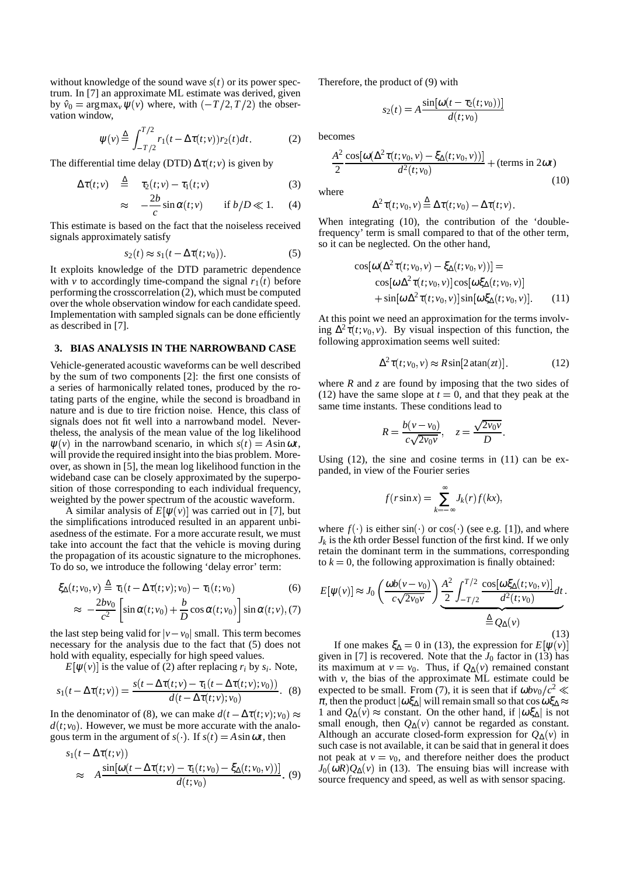without knowledge of the sound wave  $s(t)$  or its power spectrum. In [7] an approximate ML estimate was derived, given by  $\hat{v}_0 = \arg \max_v \psi(v)$  where, with  $\left(-\frac{T}{2}, \frac{T}{2}\right)$  the observation window,

$$
\psi(v) \stackrel{\Delta}{=} \int_{-T/2}^{T/2} r_1(t - \Delta \tau(t; v)) r_2(t) dt.
$$
 (2)

The differential time delay (DTD)  $\Delta \tau(t; v)$  is given by

$$
\Delta \tau(t; v) \quad \stackrel{\Delta}{=} \quad \tau_2(t; v) - \tau_1(t; v) \tag{3}
$$

$$
\approx -\frac{2b}{c}\sin\alpha(t;v) \quad \text{if } b/D \ll 1. \quad (4)
$$

This estimate is based on the fact that the noiseless received signals approximately satisfy

$$
s_2(t) \approx s_1(t - \Delta \tau(t; v_0)). \tag{5}
$$

 It exploits knowledge of the DTD parametric dependence with *v* to accordingly time-compand the signal  $r_1(t)$  before performing the crosscorrelation (2), which must be computed over the whole observation window for each candidate speed. Implementation with sampled signals can be done efficiently as described in [7].

# **3. BIAS ANALYSIS IN THE NARROWBAND CASE**

Vehicle-generated acoustic waveforms can be well described by the sum of two components [2]: the first one consists of a series of harmonically related tones, produced by the rotating parts of the engine, while the second is broadband in nature and is due to tire friction noise. Hence, this class of signals does not fit well into a narrowband model. Nevertheless, the analysis of the mean value of the log likelihood  $\psi(v)$  in the narrowband scenario, in which  $s(t) = A \sin \omega t$ , will provide the required insight into the bias problem. Moreover, as shown in [5], the mean log likelihood function in the wideband case can be closely approximated by the superposition of those corresponding to each individual frequency, weighted by the power spectrum of the acoustic waveform.

A similar analysis of  $E[\psi(v)]$  was carried out in [7], but the simplifications introduced resulted in an apparent unbiasedness of the estimate. For a more accurate result, we must take into account the fact that the vehicle is moving during the propagation of its acoustic signature to the microphones. To do so, we introduce the following 'delay error' term:

$$
\xi_{\Delta}(t;v_0,v) \stackrel{\Delta}{=} \tau_1(t - \Delta \tau(t;v);v_0) - \tau_1(t;v_0)
$$
\n(6)

$$
\approx -\frac{2bv_0}{c^2} \left[ \sin \alpha(t; v_0) + \frac{b}{D} \cos \alpha(t; v_0) \right] \sin \alpha(t; v), (7)
$$

the last step being valid for  $|v - v_0|$  small. This term becomes necessary for the analysis due to the fact that (5) does not hold with equality, especially for high speed values.

 $E[\psi(v)]$  is the value of (2) after replacing  $r_i$  by  $s_i$ . Note,

$$
s_1(t - \Delta \tau(t; v)) = \frac{s(t - \Delta \tau(t; v) - \tau_1(t - \Delta \tau(t; v); v_0))}{d(t - \Delta \tau(t; v); v_0)}.
$$
 (8)

In the denominator of (8), we can make  $d(t - \Delta \tau(t; v); v_0) \approx 1$  and  $Q_{\Delta}(t; v_0)$  $d(t; v_0)$ . However, we must be more accurate with the analogous term in the argument of  $s( \cdot )$ . If  $s(t) = A \sin \omega t$ , then

$$
s_1(t - \Delta \tau(t; v))
$$
  
\n
$$
\approx A \frac{\sin[\omega(t - \Delta \tau(t; v) - \tau_1(t; v_0) - \xi_\Delta(t; v_0, v))]}{d(t; v_0)}.
$$
 (9)

Therefore, the product of (9) with

$$
s_2(t) = A \frac{\sin[\omega(t - \tau_2(t; v_0))]}{d(t; v_0)}
$$

becomes

$$
\frac{A^2}{2}\frac{\cos[\omega(\Delta^2\tau(t;v_0,v)-\xi_{\Delta}(t;v_0,v))]}{d^2(t;v_0)}+(\text{terms in }2\omega t)
$$
\n(10)

where

$$
\Delta^2 \tau(t; v_0, v) \stackrel{\Delta}{=} \Delta \tau(t; v_0) - \Delta \tau(t; v).
$$

 When integrating (10), the contribution of the 'doublefrequency' term is small compared to that of the other term, so it can be neglected. On the other hand,

$$
\cos[\omega(\Delta^2 \tau(t; v_0, v) - \xi_{\Delta}(t; v_0, v))] =
$$
  
\n
$$
\cos[\omega \Delta^2 \tau(t; v_0, v)] \cos[\omega \xi_{\Delta}(t; v_0, v)]
$$
  
\n
$$
+ \sin[\omega \Delta^2 \tau(t; v_0, v)] \sin[\omega \xi_{\Delta}(t; v_0, v)].
$$
\n(11)

At this point we need an approximation for the terms involving  $\Delta^2 \tau(t; v_0, v)$ . By visual inspection of this function, the following approximation seems well suited:

$$
\Delta^2 \tau(t; v_0, v) \approx R \sin[2 \operatorname{atan}(zt)]. \tag{12}
$$

where *R* and *z* are found by imposing that the two sides of  $(12)$  have the same slope at  $t = 0$ , and that they peak at the same time instants. These conditions lead to

$$
R=\frac{b(v-v_0)}{c\sqrt{2v_0v}}, \quad z=\frac{\sqrt{2v_0v}}{D}.
$$

Using  $(12)$ , the sine and cosine terms in  $(11)$  can be expanded, in view of the Fourier series

$$
f(r\sin x) = \sum_{k=-\infty}^{\infty} J_k(r) f(kx),
$$

where  $f(\cdot)$  is either sin( $\cdot$ ) or cos( $\cdot$ ) (see e.g. [1]), and where *Jk* is the *k*th order Bessel function of the first kind. If we only retain the dominant term in the summations, corresponding to  $k = 0$ , the following approximation is finally obtained:

$$
E[\psi(v)] \approx J_0 \left( \frac{\omega b(v - v_0)}{c\sqrt{2v_0 v}} \right) \underbrace{\frac{A^2}{2} \int_{-T/2}^{T/2} \frac{\cos[\omega \xi_{\Delta}(t; v_0, v)]}{d^2(t; v_0)} dt}_{\triangleq Q_{\Delta}(v)}.
$$
\n(13)

If one makes  $\xi_{\Delta} = 0$  in (13), the expression for  $E[\psi(v)]$ given in [7] is recovered. Note that the  $J_0$  factor in (13) has its maximum at  $v = v_0$ . Thus, if  $Q_{\Delta}(v)$  remained constant with *v*, the bias of the approximate ML estimate could be expected to be small. From (7), it is seen that if  $\omega b v_0/c^2 \ll$  $\pi$ , then the product  $|\omega \xi_{\Delta}|$  will remain small so that cos  $\omega \xi_{\Delta} \approx$ 1 and  $Q_{\Delta}(v) \approx$  constant. On the other hand, if  $|\omega \xi_{\Delta}|$  is not small enough, then  $Q_{\Delta}(v)$  cannot be regarded as constant. Although an accurate closed-form expression for  $Q_{\Delta}(v)$  in such case is not available, it can be said that in general it does not peak at  $v = v_0$ , and therefore neither does the product  $J_0(\omega R)Q_{\Delta}(v)$  in (13). The ensuing bias will increase with source frequency and speed, as well as with sensor spacing.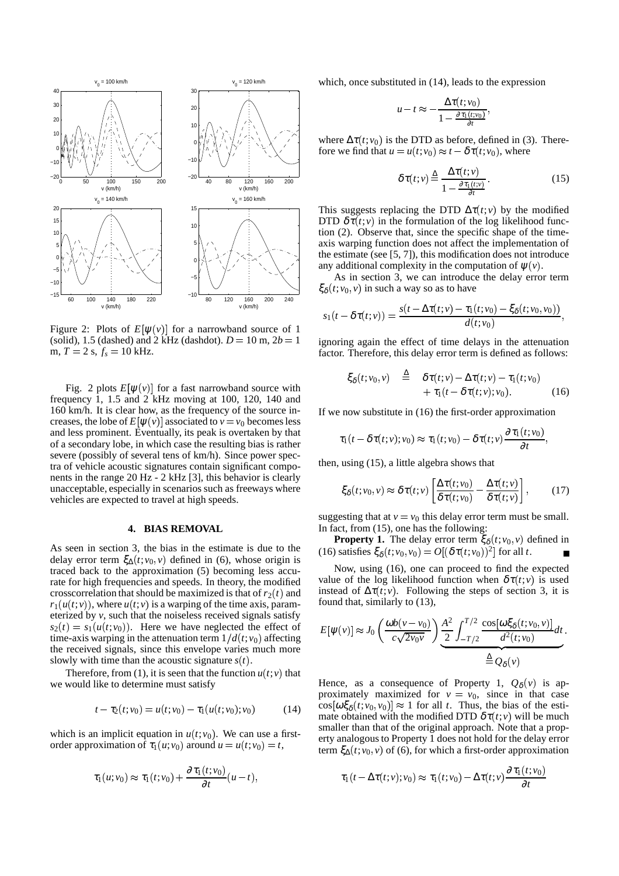

Figure 2: Plots of  $E[\psi(v)]$  for a narrowband source of 1 (solid), 1.5 (dashed) and 2 kHz (dashdot).  $D = 10$  m,  $2b = 1$  $m, T = 2$  s,  $f_s = 10$  kHz.

Fig. 2 plots  $E[\psi(v)]$  for a fast narrowband source with frequency 1, 1.5 and 2 kHz moving at 100, 120, 140 and 160 km/h. It is clear how, as the frequency of the source increases, the lobe of  $E[\psi(v)]$  associated to  $v = v_0$  becomes less and less prominent. Eventually, its peak is overtaken by that of a secondary lobe, in which case the resulting bias is rather severe (possibly of several tens of km/h). Since power spectra of vehicle acoustic signatures contain significant components in the range 20 Hz - 2 kHz [3], this behavior is clearly unacceptable, especially in scenarios such as freeways where vehicles are expected to travel at high speeds.

## **4. BIAS REMOVAL**

As seen in section 3, the bias in the estimate is due to the delay error term  $\xi_{\Delta}(t; v_0, v)$  defined in (6), whose origin is traced back to the approximation (5) becoming less accurate for high frequencies and speeds. In theory, the modified crosscorrelation that should be maximized is that of  $r_2(t)$  and  $r_1(u(t; v))$ , where  $u(t; v)$  is a warping of the time axis, parameterized by *v*, such that the noiseless received signals satisfy  $s_2(t) = s_1(u(t; v_0))$ . Here we have neglected the effect of time-axis warping in the attenuation term  $1/d(t; v_0)$  affecting the received signals, since this envelope varies much more slowly with time than the acoustic signature  $s(t)$ .

Therefore, from (1), it is seen that the function  $u(t; v)$  that we would like to determine must satisfy

$$
t - \tau_2(t; v_0) = u(t; v_0) - \tau_1(u(t; v_0); v_0)
$$
 (14)

which is an implicit equation in  $u(t; v_0)$ . We can use a firstorder approximation of  $\tau_1(u; v_0)$  around  $u = u(t; v_0) = t$ ,

$$
\tau_1(u;v_0) \approx \tau_1(t;v_0) + \frac{\partial \tau_1(t;v_0)}{\partial t}(u-t),
$$

which, once substituted in (14), leads to the expression

$$
u-t \approx -\frac{\Delta \tau(t; v_0)}{1-\frac{\partial \tau_1(t; v_0)}{\partial t}},
$$

where  $\Delta \tau(t; v_0)$  is the DTD as before, defined in (3). Therefore we find that  $u = u(t; v_0) \approx t - \delta \tau(t; v_0)$ , where

$$
\delta \tau(t; v) \stackrel{\Delta}{=} \frac{\Delta \tau(t; v)}{1 - \frac{\partial \tau_1(t; v)}{\partial t}}.
$$
 (15)

This suggests replacing the DTD  $\Delta \tau(t; v)$  by the modified DTD  $\delta \tau(t; v)$  in the formulation of the log likelihood function (2). Observe that, since the specific shape of the timeaxis warping function does not affect the implementation of the estimate (see [5, 7]), this modification does not introduce any additional complexity in the computation of  $\psi(\nu)$ .

As in section 3, we can introduce the delay error term  $\xi_{\delta}(t; v_0, v)$  in such a way so as to have

$$
s_1(t-\delta\tau(t;v))=\frac{s(t-\Delta\tau(t;v)-\tau_1(t;v_0)-\xi_{\delta}(t;v_0,v_0))}{d(t;v_0)},
$$

 1 ignoring again the effect of time delays in the attenuation factor. Therefore, this delay error term is defined as follows:

$$
\xi_{\delta}(t;v_0,v) \stackrel{\Delta}{=} \delta \tau(t;v) - \Delta \tau(t;v) - \tau_1(t;v_0) + \tau_1(t - \delta \tau(t;v);v_0).
$$
 (16)

If we now substitute in (16) the first-order approximation

$$
\tau_1(t-\delta\tau(t;v);v_0)\approx\tau_1(t;v_0)-\delta\tau(t;v)\frac{\partial\tau_1(t;v_0)}{\partial t},
$$

then, using (15), a little algebra shows that

$$
\xi_{\delta}(t; v_0, v) \approx \delta \tau(t; v) \left[ \frac{\Delta \tau(t; v_0)}{\delta \tau(t; v_0)} - \frac{\Delta \tau(t; v)}{\delta \tau(t; v)} \right], \quad (17)
$$

suggesting that at  $v = v_0$  this delay error term must be small. In fact, from (15), one has the following:

**Property 1.** The delay error term  $\xi_{\delta}(t; v_0, v)$  defined in (16) satisfies  $\xi_{\delta}(t; v_0, v_0) = O[(\delta \tau(t; v_0))^2]$  for all *t*.

Now, using (16), one can proceed to find the expected value of the log likelihood function when  $\delta \tau(t; v)$  is used instead of  $\Delta \tau(t; v)$ . Following the steps of section 3, it is found that, similarly to (13),

$$
E[\psi(v)] \approx J_0 \left( \frac{\omega b(v - v_0)}{c \sqrt{2v_0 v}} \right) \underbrace{\frac{A^2}{2} \int_{-T/2}^{T/2} \frac{\cos[\omega \xi_\delta(t; v_0, v)]}{d^2(t; v_0)} dt}_{\triangleq Q_\delta(v)}.
$$

*t*,
term  $\xi_{\Delta}(t; v_0, v)$  of (6), for which a first-order approximation Hence, as a consequence of Property 1,  $Q_{\delta}(v)$  is approximately maximized for  $v = v_0$ , since in that case  $\cos[\omega \xi_{\delta}(t; v_0, v_0)] \approx 1$  for all *t*. Thus, the bias of the estimate obtained with the modified DTD  $\delta \tau(t; v)$  will be much smaller than that of the original approach. Note that a property analogous to Property 1 does not hold for the delay error

$$
\tau_1(t - \Delta \tau(t; v); v_0) \approx \tau_1(t; v_0) - \Delta \tau(t; v) \frac{\partial \tau_1(t; v_0)}{\partial t}
$$